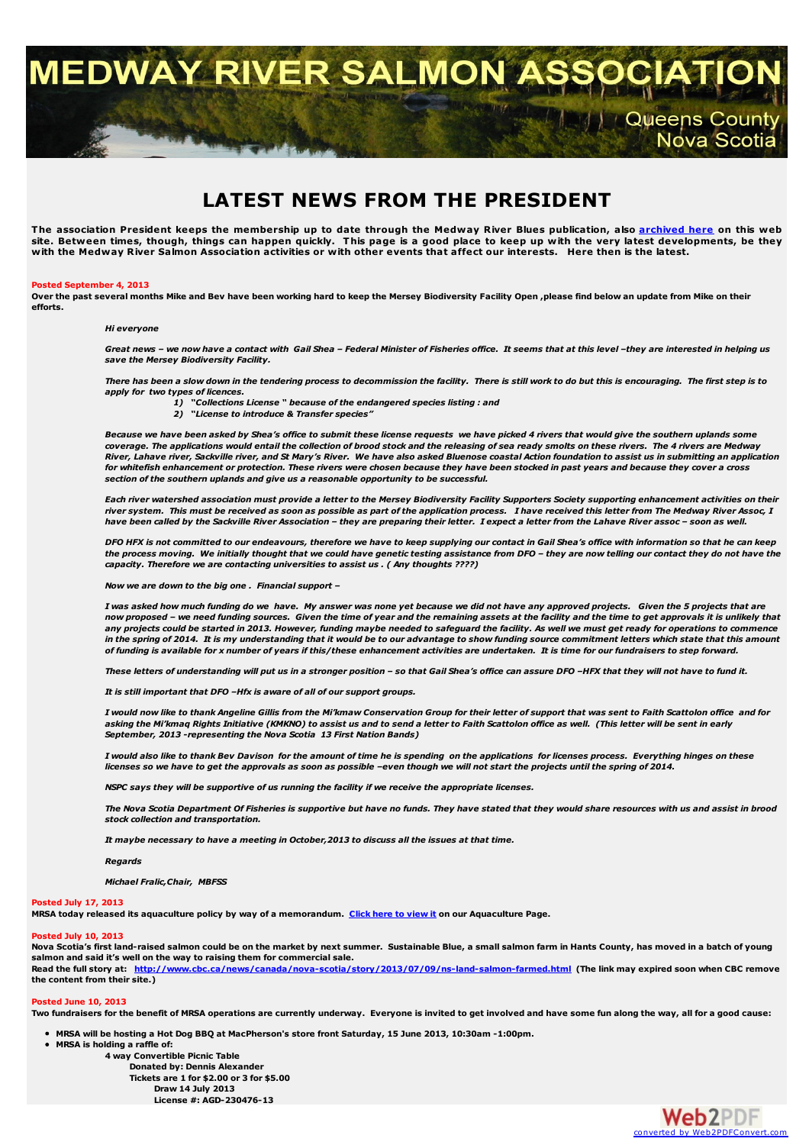MEDWAY RIVER SALMON ASSOC

# **LATEST NEWS FROM THE PRESIDENT**

The association President keeps the membership up to date through the Medway River Blues publication, also [archived](http://medwayriversalmonassociation.org/archives/archives.html) here on this web site. Between times, though, things can happen quickly. This page is a good place to keep up with the very latest developments, be they with the Medway River Salmon Association activities or with other events that affect o

#### **Posted September 4, 2013**

Over the past several months Mike and Bev have been working hard to keep the Mersey Biodiversity Facility Open, please find below an update from Mike on their **efforts.**

#### *Hi everyone*

Great news - we now have a contact with Gail Shea - Federal Minister of Fisheries office. It seems that at this level -they are interested in helping us *save the Mersey Biodiversity Facility.*

There has been a slow down in the tendering process to decommission the facility. There is still work to do but this is encouraging. The first step is to *apply for two types of licences.*

- *1) "Collections License " because of the endangered species listing : and*
- *2) "License to introduce & Transfer species"*

Because we have been asked by Shea's office to submit these license requests we have picked 4 rivers that would give the southern uplands some coverage. The applications would entail the collection of brood stock and the releasing of sea ready smolts on these rivers. The 4 rivers are Medway River, Lahave river, Sackville river, and St Mary's River. We have also asked Bluenose coastal Action foundation to assist us in submitting an application for whitefish enhancement or protection. These rivers were chosen because they have been stocked in past years and because they cover a cross *section of the southern uplands and give us a reasonable opportunity to be successful.*

Each river watershed association must provide a letter to the Mersey Biodiversity Facility Supporters Society supporting enhancement activities on their river system. This must be received as soon as possible as part of the application process. I have received this letter from The Medway River Assoc, I have been called by the Sackville River Association - they are preparing their letter. I expect a letter from the Lahave River assoc - soon as well.

DFO HFX is not committed to our endeavours, therefore we have to keep supplying our contact in Gail Shea's office with information so that he can keep the process moving. We initially thought that we could have genetic testing assistance from DFO - they are now telling our contact they do not have the *capacity. Therefore we are contacting universities to assist us . ( Any thoughts ????)*

*Now we are down to the big one . Financial support –*

I was asked how much funding do we have. My answer was none yet because we did not have any approved projects. Given the 5 projects that are now proposed - we need funding sources. Given the time of year and the remaining assets at the facility and the time to get approvals it is unlikely that any projects could be started in 2013. However, funding maybe needed to safeguard the facility. As well we must get ready for operations to commence in the spring of 2014. It is my understanding that it would be to our advantage to show funding source commitment letters which state that this amount of fundina is available for x number of years if this/these enhancement activities are undertaken. It is time for our fundraisers to step forward.

These letters of understanding will put us in a stronger position - so that Gail Shea's office can assure DFO -HFX that they will not have to fund it.

*It is still important that DFO –Hfx is aware of all of our support groups.*

I would now like to thank Angeline Gillis from the Mi'kmaw Conservation Group for their letter of support that was sent to Faith Scattolon office and for asking the Mi'kmaq Rights Initiative (KMKNO) to assist us and to send a letter to Faith Scattolon office as well. (This letter will be sent in early *September, 2013 -representing the Nova Scotia 13 First Nation Bands)*

I would also like to thank Bev Davison for the amount of time he is spending on the applications for licenses process. Everything hinges on these licenses so we have to get the approvals as soon as possible -even though we will not start the projects until the spring of 2014.

*NSPC says they will be supportive of us running the facility if we receive the appropriate licenses.*

The Nova Scotia Department Of Fisheries is supportive but have no funds. They have stated that they would share resources with us and assist in brood *stock collection and transportation.*

*It maybe necessary to have a meeting in October,2013 to discuss all the issues at that time.*

## *Regards*

*Michael Fralic,Chair, MBFSS*

### **Posted July 17, 2013**

MRSA today released its aquaculture policy by way of a memorandum. Click here to [view](http://medwayriversalmonassociation.org/aquaculture/aquaculture.html#policy) it on our Aquaculture Page.

### **Posted July 10, 2013**

Nova Scotia's first land-raised salmon could be on the market by next summer. Sustainable Blue, a small salmon farm in Hants County, has moved in a batch of young **salmon and said it's well on the way to raising them for commercial sale.** Read the full story at: <http://www.cbc.ca/news/canada/nova-scotia/story/2013/07/09/ns-land-salmon-farmed.html> (The link may expired soon when CBC remove

**the content from their site.)**

#### **Posted June 10, 2013**

Two fundraisers for the benefit of MRSA operations are currently underway. Everyone is invited to get involved and have some fun along the way, all for a good cause:

 $\bullet$ MRSA will be hosting a Hot Dog BBQ at MacPherson's store front Saturday, 15 June 2013, 10:30am -1:00pm.

**MRSA is holding a raffle of:**

**4 way Convertible Picnic Table Donated by: Dennis Alexander Tickets are 1 for \$2.00 or 3 for \$5.00 Draw 14 July 2013 License #: AGD-230476-13**



Queens County<br>Nova Scotia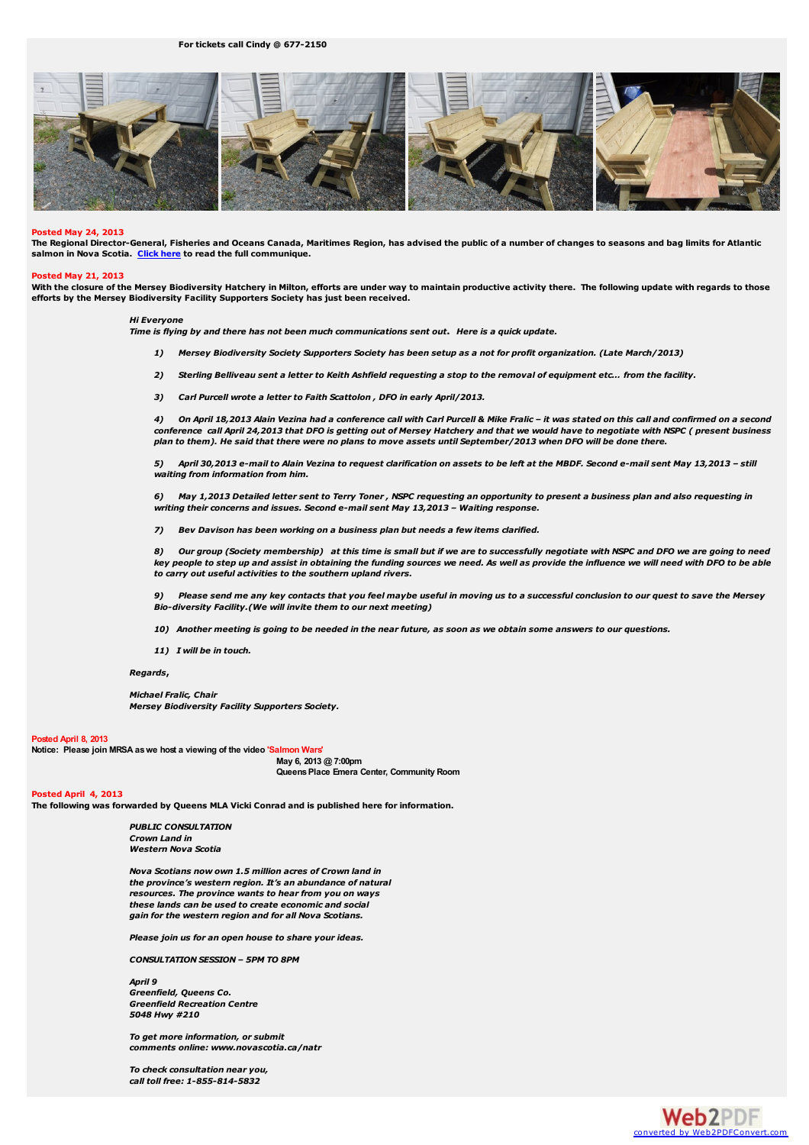## **For tickets call Cindy @ 677-2150**



### **Posted May 24, 2013**

The Regional Director-General, Fisheries and Oceans Canada, Maritimes Region, has advised the public of a number of changes to seasons and bag limits for Atlantic **salmon in Nova Scotia. [Click](http://medwayriversalmonassociation.org/presidentsnews/SalmonAnglingSeason2013Notice%28Bil%29.pdf) here to read the full communique.**

#### **Posted May 21, 2013**

With the closure of the Mersey Biodiversity Hatchery in Milton, efforts are under way to maintain productive activity there. The following update with regards to those **efforts by the Mersey Biodiversity Facility Supporters Society has just been received.**

## *Hi Everyone*

Time is flying by and there has not been much communications sent out. Here is a quick update.

- 1) Mersey Biodiversity Society Supporters Society has been setup as a not for profit organization. (Late March/2013)
- 2) Sterling Belliveau sent a letter to Keith Ashfield requesting a stop to the removal of equipment etc... from the facility.
- *3) Carl Purcell wrote a letter to Faith Scattolon , DFO in early April/2013.*

4) On April 18,2013 Alain Vezina had a conference call with Carl Purcell & Mike Fralic - it was stated on this call and confirmed on a second conference call April 24,2013 that DFO is getting out of Mersey Hatchery and that we would have to negotiate with NSPC (present business plan to them). He said that there were no plans to move assets until September/2013 when DFO will be done there.

5) April 30,2013 e-mail to Alain Vezina to request clarification on assets to be left at the MBDF. Second e-mail sent May 13,2013 - still *waiting from information from him.*

6) May 1,2013 Detailed letter sent to Terry Toner, NSPC requesting an opportunity to present a business plan and also requesting in *writing their concerns and issues. Second e-mail sent May 13,2013 – Waiting response.*

*7) Bev Davison has been working on a business plan but needs a few items clarified.*

8) Our group (Society membership) at this time is small but if we are to successfully negotiate with NSPC and DFO we are going to need key people to step up and assist in obtaining the funding sources we need. As well as provide the influence we will need with DFO to be able *to carry out useful activities to the southern upland rivers.*

Please send me any key contacts that you feel maybe useful in moving us to a successful conclusion to our quest to save the Mersey *Bio-diversity Facility.(We will invite them to our next meeting)*

- 10) Another meeting is going to be needed in the near future, as soon as we obtain some answers to our questions.
- *11) I will be in touch.*

#### *Regards***,**

*Michael Fralic, Chair Mersey Biodiversity Facility Supporters Society.*

#### **Posted April 8, 2013**

**Notice: Please join MRSA aswe host a viewing of the video 'Salmon Wars'**

**May 6, 2013 @ 7:00pm QueensPlace Emera Center, Community Room**

## **Posted April 4, 2013**

**The following was forwarded by Queens MLA Vicki Conrad and is published here for information.**

*PUBLIC CONSULTATION Crown Land in Western Nova Scotia*

*Nova Scotians now own 1.5 million acres of Crown land in the province's western region. It's an abundance of natural resources. The province wants to hear from you on ways these lands can be used to create economic and social gain for the western region and for all Nova Scotians.*

*Please join us for an open house to share your ideas.*

*CONSULTATION SESSION – 5PM TO 8PM*

*April 9 Greenfield, Queens Co. Greenfield Recreation Centre 5048 Hwy #210*

*To get more information, or submit comments online: www.novascotia.ca/natr*

*To check consultation near you, call toll free: 1-855-814-5832*